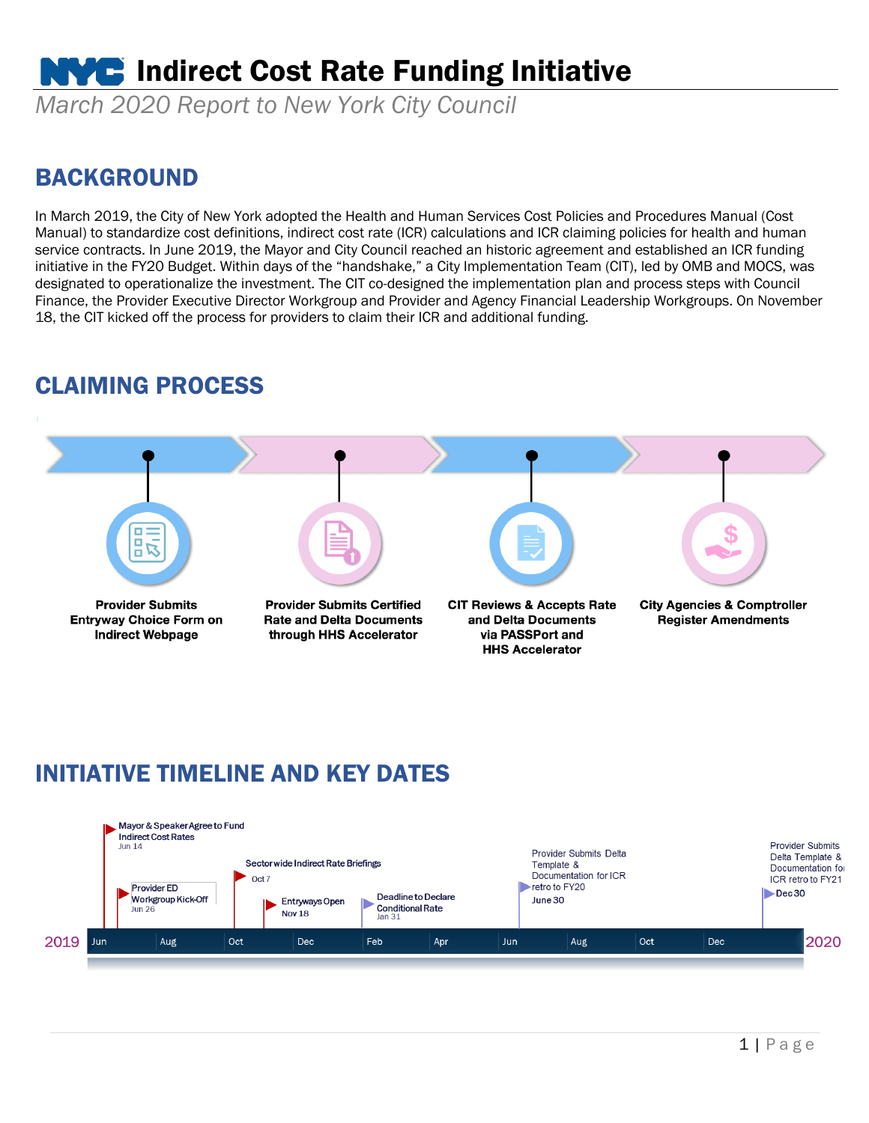# **NVC** Indirect Cost Rate Funding Initiative

*March 2020 Report to New York City Council*

#### BACKGROUND

In March 2019, the City of New York adopted the Health and Human Services Cost Policies and Procedures Manual (Cost Manual) to standardize cost definitions, indirect cost rate (ICR) calculations and ICR claiming policies for health and human service contracts. In June 2019, the Mayor and City Council reached an historic agreement and established an ICR funding initiative in the FY20 Budget. Within days of the "handshake," a City Implementation Team (CIT), led by OMB and MOCS, was designated to operationalize the investment. The CIT co-designed the implementation plan and process steps with Council Finance, the Provider Executive Director Workgroup and Provider and Agency Financial Leadership Workgroups. On November 18, the CIT kicked off the process for providers to claim their ICR and additional funding.

#### CLAIMING PROCESS



#### INITIATIVE TIMELINE AND KEY DATES

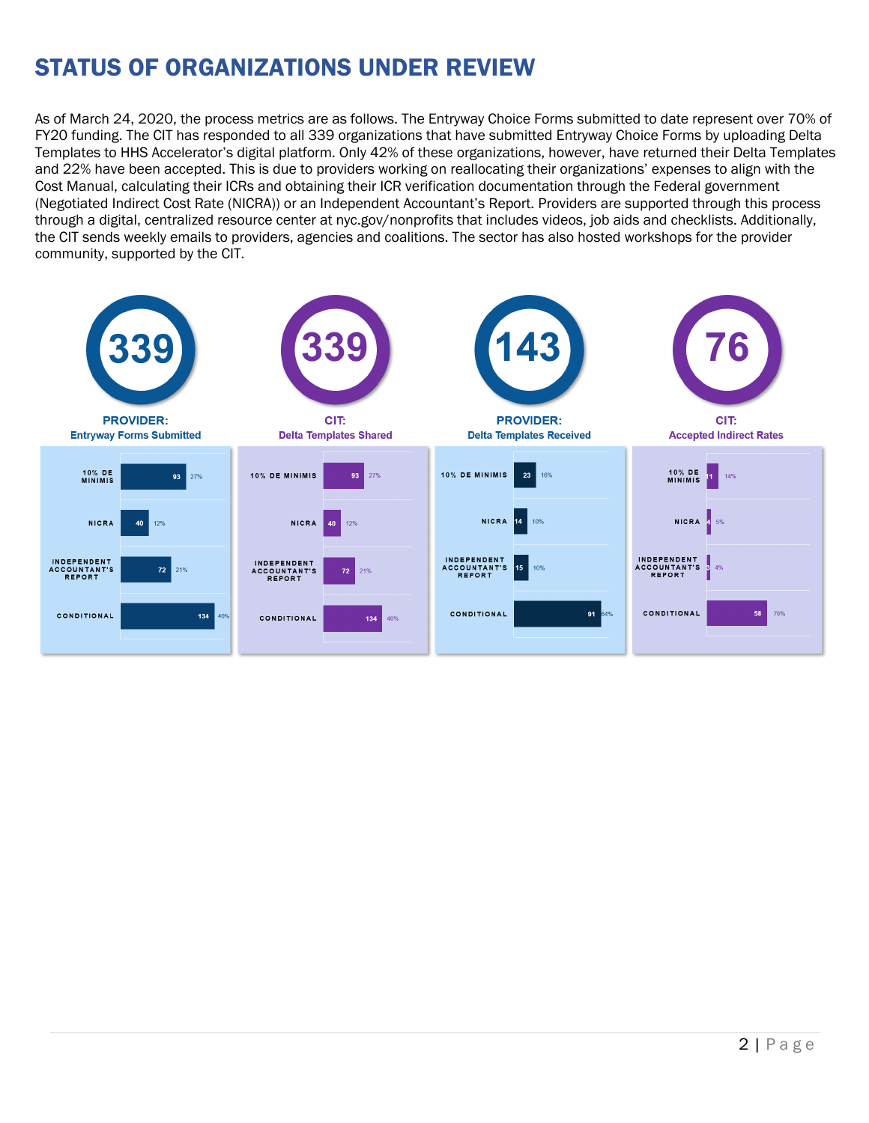## STATUS OF ORGANIZATIONS UNDER REVIEW

As of March 24, 2020, the process metrics are as follows. The Entryway Choice Forms submitted to date represent over 70% of FY20 funding. The CIT has responded to all 339 organizations that have submitted Entryway Choice Forms by uploading Delta Templates to HHS Accelerator's digital platform. Only 42% of these organizations, however, have returned their Delta Templates and 22% have been accepted. This is due to providers working on reallocating their organizations' expenses to align with the Cost Manual, calculating their ICRs and obtaining their ICR verification documentation through the Federal government (Negotiated Indirect Cost Rate (NICRA)) or an Independent Accountant's Report. Providers are supported through this process through a digital, centralized resource center at nyc.gov/nonprofits that includes videos, job aids and checklists. Additionally, the CIT sends weekly emails to providers, agencies and coalitions. The sector has also hosted workshops for the provider community, supported by the CIT.